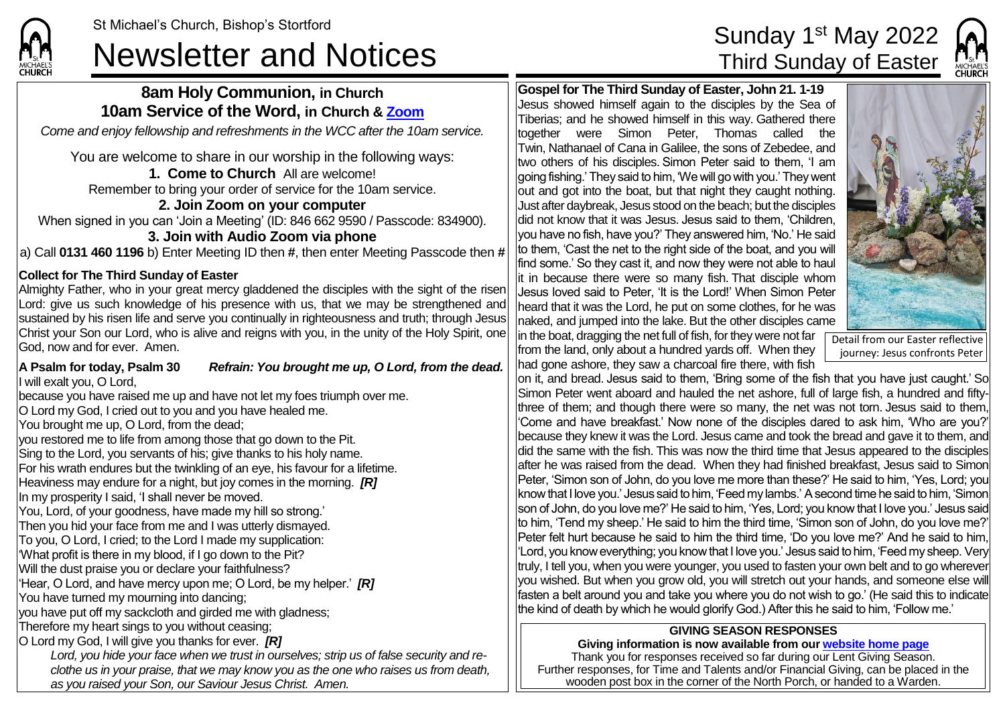

# St Michael's Church, Bishop's Stortford<br>Newsletter and Notices Third Sunday of Easter

## **8am Holy Communion, in Church 10am Service of the Word, in Church & [Zoom](https://zoom.us/)**

*Come and enjoy fellowship and refreshments in the WCC after the 10am service.*

You are welcome to share in our worship in the following ways:

**1. Come to Church** All are welcome! Remember to bring your order of service for the 10am service.

## **2. Join Zoom on your computer**

When signed in you can 'Join a Meeting' (ID: 846 662 9590 / Passcode: 834900).

## **3. Join with Audio Zoom via phone**

a) Call **0131 460 1196** b) Enter Meeting ID then **#**, then enter Meeting Passcode then **#**

## **Collect for The Third Sunday of Easter**

Almighty Father, who in your great mercy gladdened the disciples with the sight of the risen Lord: give us such knowledge of his presence with us, that we may be strengthened and sustained by his risen life and serve you continually in righteousness and truth; through Jesus Christ your Son our Lord, who is alive and reigns with you, in the unity of the Holy Spirit, one God, now and for ever. Amen.

#### **A Psalm for today, Psalm 30** *Refrain: You brought me up, O Lord, from the dead.* I will exalt you, O Lord.

because you have raised me up and have not let my foes triumph over me. O Lord my God, I cried out to you and you have healed me. You brought me up, O Lord, from the dead; you restored me to life from among those that go down to the Pit. Sing to the Lord, you servants of his; give thanks to his holy name. For his wrath endures but the twinkling of an eye, his favour for a lifetime. Heaviness may endure for a night, but joy comes in the morning. *[R]* In my prosperity I said, 'I shall never be moved. You, Lord, of your goodness, have made my hill so strong.' Then you hid your face from me and I was utterly dismayed. To you, O Lord, I cried; to the Lord I made my supplication: 'What profit is there in my blood, if I go down to the Pit? Will the dust praise you or declare your faithfulness? 'Hear, O Lord, and have mercy upon me; O Lord, be my helper.' *[R]* You have turned my mourning into dancing; you have put off my sackcloth and girded me with gladness; Therefore my heart sings to you without ceasing; O Lord my God, I will give you thanks for ever. *[R] Lord, you hide your face when we trust in ourselves; strip us of false security and reclothe us in your praise, that we may know you as the one who raises us from death,*

*as you raised your Son, our Saviour Jesus Christ. Amen.*

**Gospel for The Third Sunday of Easter, John 21. 1-19** Jesus showed himself again to the disciples by the Sea of Tiberias; and he showed himself in this way. Gathered there together were Simon Peter, Thomas called the Twin, Nathanael of Cana in Galilee, the sons of Zebedee, and two others of his disciples. Simon Peter said to them, 'I am laoina fishina.' They said to him. 'We will go with you.' They went out and got into the boat, but that night they caught nothing. Just after daybreak, Jesus stood on the beach; but the disciples did not know that it was Jesus. Jesus said to them, 'Children, you have no fish, have you?' They answered him, 'No.' He said to them, 'Cast the net to the right side of the boat, and you will find some.' So they cast it, and now they were not able to haul it in because there were so many fish. That disciple whom Jesus loved said to Peter, 'It is the Lord!' When Simon Peter heard that it was the Lord, he put on some clothes, for he was naked, and jumped into the lake. But the other disciples came Detail from our Easter reflective



journey: Jesus confronts Peter

in the boat, dragging the net full of fish, for they were not far from the land, only about a hundred yards off. When they had gone ashore, they saw a charcoal fire there, with fish

on it, and bread. Jesus said to them, 'Bring some of the fish that you have just caught.' So Simon Peter went aboard and hauled the net ashore, full of large fish, a hundred and fiftythree of them; and though there were so many, the net was not torn. Jesus said to them, 'Come and have breakfast.' Now none of the disciples dared to ask him, 'Who are you?' because they knew it was the Lord. Jesus came and took the bread and gave it to them, and did the same with the fish. This was now the third time that Jesus appeared to the disciples after he was raised from the dead. When they had finished breakfast, Jesus said to Simon Peter, 'Simon son of John, do you love me more than these?' He said to him, 'Yes, Lord; you know that I love you.' Jesus said to him, 'Feed my lambs.' A second time he said to him, 'Simon son of John, do you love me?' He said to him, 'Yes, Lord; you know that I love you.' Jesus said to him, 'Tend my sheep.' He said to him the third time, 'Simon son of John, do you love me?' Peter felt hurt because he said to him the third time, 'Do you love me?' And he said to him, 'Lord, you knoweverything; you know that I love you.' Jesus said to him, 'Feed my sheep. Very truly, I tell you, when you were younger, you used to fasten your own belt and to go wherever you wished. But when you grow old, you will stretch out your hands, and someone else will fasten a belt around you and take you where you do not wish to go.' (He said this to indicate the kind of death by which he would glorify God.) After this he said to him, 'Follow me.'

### **GIVING SEASON RESPONSES**

### **Giving information is now available from ou[r website home page](https://saintmichaelweb.org.uk/)**

Thank you for responses received so far during our Lent Giving Season. Further responses, for Time and Talents and/or Financial Giving, can be placed in the wooden post box in the corner of the North Porch, or handed to a Warden.